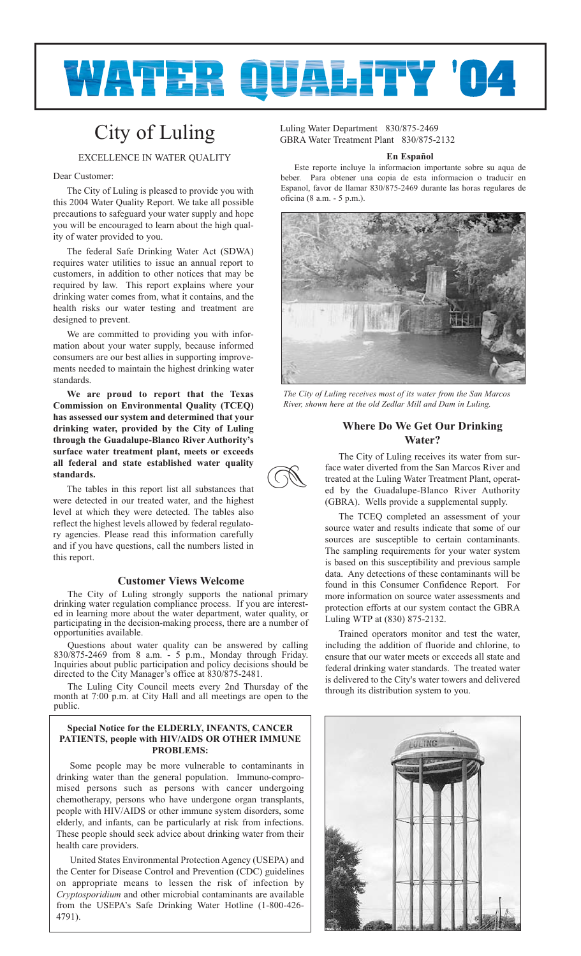

**z** 

# City of Luling

EXCELLENCE IN WATER QUALITY

### Dear Customer:

The City of Luling is pleased to provide you with this 2004 Water Quality Report. We take all possible precautions to safeguard your water supply and hope you will be encouraged to learn about the high quality of water provided to you.

The federal Safe Drinking Water Act (SDWA) requires water utilities to issue an annual report to customers, in addition to other notices that may be required by law. This report explains where your drinking water comes from, what it contains, and the health risks our water testing and treatment are designed to prevent.

We are committed to providing you with information about your water supply, because informed consumers are our best allies in supporting improvements needed to maintain the highest drinking water standards.

**We are proud to report that the Texas Commission on Environmental Quality (TCEQ) has assessed our system and determined that your drinking water, provided by the City of Luling through the Guadalupe-Blanco River Authority's surface water treatment plant, meets or exceeds all federal and state established water quality standards.**

The tables in this report list all substances that were detected in our treated water, and the highest level at which they were detected. The tables also reflect the highest levels allowed by federal regulatory agencies. Please read this information carefully and if you have questions, call the numbers listed in this report.

## **Customer Views Welcome**

The City of Luling strongly supports the national primary drinking water regulation compliance process. If you are interested in learning more about the water department, water quality, or participating in the decision-making process, there are a number of opportunities available.

Questions about water quality can be answered by calling 830/875-2469 from 8 a.m. - 5 p.m., Monday through Friday. Inquiries about public participation and policy decisions should be directed to the City Manager's office at 830/875-2481.

The Luling City Council meets every 2nd Thursday of the month at 7:00 p.m. at City Hall and all meetings are open to the public.

# **Special Notice for the ELDERLY, INFANTS, CANCER PATIENTS, people with HIV/AIDS OR OTHER IMMUNE PROBLEMS:**

Some people may be more vulnerable to contaminants in drinking water than the general population. Immuno-compromised persons such as persons with cancer undergoing chemotherapy, persons who have undergone organ transplants, people with HIV/AIDS or other immune system disorders, some elderly, and infants, can be particularly at risk from infections. These people should seek advice about drinking water from their health care providers.

United States Environmental Protection Agency (USEPA) and the Center for Disease Control and Prevention (CDC) guidelines on appropriate means to lessen the risk of infection by *Cryptosporidium* and other microbial contaminants are available from the USEPA's Safe Drinking Water Hotline (1-800-426- 4791).

Luling Water Department 830/875-2469 GBRA Water Treatment Plant 830/875-2132

## **En Español**

Este reporte incluye la informacion importante sobre su aqua de beber. Para obtener una copia de esta informacion o traducir en Espanol, favor de llamar 830/875-2469 durante las horas regulares de oficina (8 a.m. - 5 p.m.).



*The City of Luling receives most of its water from the San Marcos River, shown here at the old Zedlar Mill and Dam in Luling.*

# **Where Do We Get Our Drinking Water?**

The City of Luling receives its water from surface water diverted from the San Marcos River and treated at the Luling Water Treatment Plant, operated by the Guadalupe-Blanco River Authority (GBRA). Wells provide a supplemental supply.

The TCEQ completed an assessment of your source water and results indicate that some of our sources are susceptible to certain contaminants. The sampling requirements for your water system is based on this susceptibility and previous sample data. Any detections of these contaminants will be found in this Consumer Confidence Report. For more information on source water assessments and protection efforts at our system contact the GBRA Luling WTP at (830) 875-2132.

Trained operators monitor and test the water, including the addition of fluoride and chlorine, to ensure that our water meets or exceeds all state and federal drinking water standards. The treated water is delivered to the City's water towers and delivered through its distribution system to you.